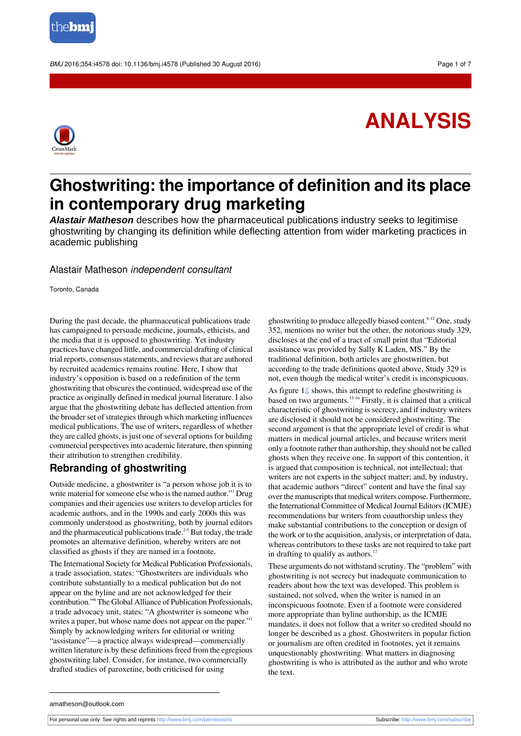

BMJ 2016:354:i4578 doi: 10.1136/bmi.i4578 (Published 30 August 2016) Page 1 of 7



# **ANALYSIS**

## **Ghostwriting: the importance of definition and its place in contemporary drug marketing**

*Alastair Matheson* describes how the pharmaceutical publications industry seeks to legitimise ghostwriting by changing its definition while deflecting attention from wider marketing practices in academic publishing

#### Alastair Matheson independent consultant

Toronto, Canada

During the past decade, the pharmaceutical publications trade has campaigned to persuade medicine, journals, ethicists, and the media that it is opposed to ghostwriting. Yet industry practices have changed little, and commercial drafting of clinical trial reports, consensus statements, and reviews that are authored by recruited academics remains routine. Here, I show that industry's opposition is based on a redefinition of the term ghostwriting that obscures the continued, widespread use of the practice as originally defined in medical journal literature. I also argue that the ghostwriting debate has deflected attention from the broader set of strategies through which marketing influences medical publications. The use of writers, regardless of whether they are called ghosts, is just one of several options for building commercial perspectivesinto academic literature, then spinning their attribution to strengthen credibility.

### **Rebranding of ghostwriting**

Outside medicine, a ghostwriter is "a person whose job it is to write material for someone else who is the named author."<sup>1</sup> Drug companies and their agencies use writers to develop articles for academic authors, and in the 1990s and early 2000s this was commonly understood as ghostwriting, both by journal editors and the pharmaceutical publications trade.<sup>2-5</sup> But today, the trade promotes an alternative definition, whereby writers are not classified as ghosts if they are named in a footnote.

The International Society for Medical Publication Professionals, a trade association, states: "Ghostwriters are individuals who contribute substantially to a medical publication but do not appear on the byline and are not acknowledged for their contribution."<sup>6</sup> The Global Alliance of Publication Professionals, a trade advocacy unit, states: "A ghostwriter is someone who writes a paper, but whose name does not appear on the paper."<sup>7</sup> Simply by acknowledging writers for editorial or writing "assistance"—a practice always widespread—commercially written literature is by these definitions freed from the egregious ghostwriting label. Consider, for instance, two commercially drafted studies of paroxetine, both criticised for using

ghostwriting to produce allegedly biased content.<sup>8-12</sup> One, study 352, mentions no writer but the other, the notorious study 329, discloses at the end of a tract of small print that "Editorial assistance was provided by Sally K Laden, MS." By the traditional definition, both articles are ghostwritten, but according to the trade definitions quoted above, Study 329 is not, even though the medical writer's credit is inconspicuous.

As figure [1⇓](#page-6-0) shows, this attempt to redefine ghostwriting is based on two arguments.13-16 Firstly, it is claimed that a critical characteristic of ghostwriting is secrecy, and if industry writers are disclosed it should not be considered ghostwriting. The second argument is that the appropriate level of credit is what matters in medical journal articles, and because writers merit only a footnote rather than authorship, they should not be called ghosts when they receive one. In support of this contention, it is argued that composition is technical, not intellectual; that writers are not experts in the subject matter; and, by industry, that academic authors "direct" content and have the final say over the manuscripts that medical writers compose. Furthermore, the International Committee of Medical Journal Editors (ICMJE) recommendations bar writers from coauthorship unless they make substantial contributions to the conception or design of the work or to the acquisition, analysis, or interpretation of data, whereas contributors to these tasks are not required to take part in drafting to qualify as authors. $17$ 

These arguments do not withstand scrutiny. The "problem" with ghostwriting is not secrecy but inadequate communication to readers about how the text was developed. This problem is sustained, not solved, when the writer is named in an inconspicuous footnote. Even if a footnote were considered more appropriate than byline authorship, as the ICMJE mandates, it does not follow that a writer so credited should no longer be described as a ghost. Ghostwriters in popular fiction or journalism are often credited in footnotes, yet it remains unquestionably ghostwriting. What matters in diagnosing ghostwriting is who is attributed as the author and who wrote the text.

amatheson@outlook.com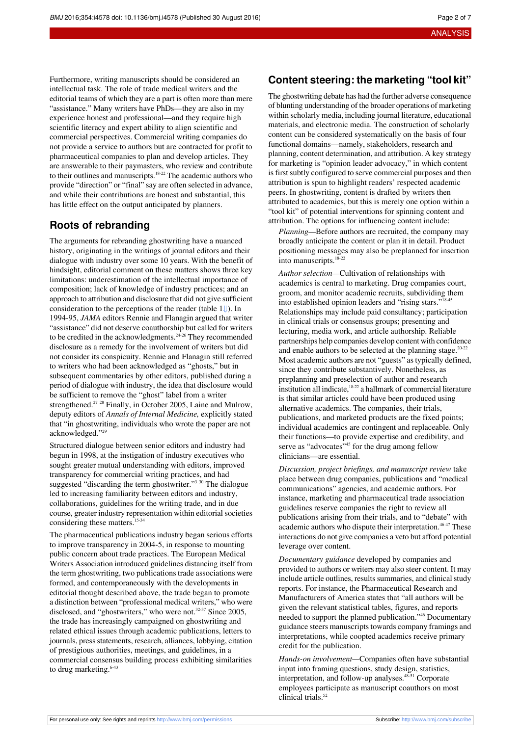Furthermore, writing manuscripts should be considered an intellectual task. The role of trade medical writers and the editorial teams of which they are a part is often more than mere "assistance." Many writers have PhDs—they are also in my experience honest and professional—and they require high scientific literacy and expert ability to align scientific and commercial perspectives. Commercial writing companies do not provide a service to authors but are contracted for profit to pharmaceutical companies to plan and develop articles. They are answerable to their paymasters, who review and contribute to their outlines and manuscripts.<sup>18-22</sup> The academic authors who provide "direction" or "final" say are often selected in advance, and while their contributions are honest and substantial, this has little effect on the output anticipated by planners.

### **Roots of rebranding**

The arguments for rebranding ghostwriting have a nuanced history, originating in the writings of journal editors and their dialogue with industry over some 10 years. With the benefit of hindsight, editorial comment on these matters shows three key limitations: underestimation of the intellectual importance of composition; lack of knowledge of industry practices; and an approach to attribution and disclosure that did not give sufficient consideration to the perceptions of the reader (table [1⇓](#page-4-0)). In 1994-95, *JAMA* editors Rennie and Flanagin argued that writer "assistance" did not deserve coauthorship but called for writers to be credited in the acknowledgments.<sup>24-26</sup> They recommended disclosure as a remedy for the involvement of writers but did not consider its conspicuity. Rennie and Flanagin still referred to writers who had been acknowledged as "ghosts," but in subsequent commentaries by other editors, published during a period of dialogue with industry, the idea that disclosure would be sufficient to remove the "ghost" label from a writer strengthened.<sup>27</sup> <sup>28</sup> Finally, in October 2005, Laine and Mulrow, deputy editors of *Annals of Internal Medicine,* explicitly stated that "in ghostwriting, individuals who wrote the paper are not acknowledged."<sup>29</sup>

Structured dialogue between senior editors and industry had begun in 1998, at the instigation of industry executives who sought greater mutual understanding with editors, improved transparency for commercial writing practices, and had suggested "discarding the term ghostwriter."<sup>3 30</sup> The dialogue led to increasing familiarity between editors and industry, collaborations, guidelines for the writing trade, and in due course, greater industry representation within editorial societies considering these matters.<sup>15-34</sup>

The pharmaceutical publications industry began serious efforts to improve transparency in 2004-5, in response to mounting public concern about trade practices. The European Medical Writers Association introduced guidelines distancing itself from the term ghostwriting, two publications trade associations were formed, and contemporaneously with the developments in editorial thought described above, the trade began to promote a distinction between "professional medical writers," who were disclosed, and "ghostwriters," who were not.<sup>32-37</sup> Since 2005, the trade has increasingly campaigned on ghostwriting and related ethical issues through academic publications, letters to journals, press statements, research, alliances, lobbying, citation of prestigious authorities, meetings, and guidelines, in a commercial consensus building process exhibiting similarities to drug marketing.<sup>6-43</sup>

#### **Content steering: the marketing "tool kit"**

The ghostwriting debate has had the further adverse consequence of blunting understanding of the broader operations of marketing within scholarly media, including journal literature, educational materials, and electronic media. The construction of scholarly content can be considered systematically on the basis of four functional domains—namely, stakeholders, research and planning, content determination, and attribution. A key strategy for marketing is "opinion leader advocacy," in which content is first subtly configured to serve commercial purposes and then attribution is spun to highlight readers' respected academic peers. In ghostwriting, content is drafted by writers then attributed to academics, but this is merely one option within a "tool kit" of potential interventions for spinning content and attribution. The options for influencing content include:

*Planning—*Before authors are recruited, the company may broadly anticipate the content or plan it in detail. Product positioning messages may also be preplanned for insertion into manuscripts.18-22

*Author selection—*Cultivation of relationships with academics is central to marketing. Drug companies court, groom, and monitor academic recruits, subdividing them into established opinion leaders and "rising stars."<sup>18-4</sup> Relationships may include paid consultancy; participation in clinical trials or consensus groups; presenting and lecturing, media work, and article authorship. Reliable partnerships help companies develop content with confidence and enable authors to be selected at the planning stage. $20-22$ Most academic authors are not "guests" astypically defined, since they contribute substantively. Nonetheless, as preplanning and preselection of author and research institution all indicate, $18-22$  a hallmark of commercial literature is that similar articles could have been produced using alternative academics. The companies, their trials, publications, and marketed products are the fixed points; individual academics are contingent and replaceable. Only their functions—to provide expertise and credibility, and serve as "advocates"<sup>45</sup> for the drug among fellow clinicians—are essential.

*Discussion, project briefings, and manuscript review* take place between drug companies, publications and "medical communications" agencies, and academic authors. For instance, marketing and pharmaceutical trade association guidelines reserve companies the right to review all publications arising from their trials, and to "debate" with academic authors who dispute their interpretation.<sup>46 47</sup> These interactions do not give companies a veto but afford potential leverage over content.

*Documentary guidance* developed by companies and provided to authors or writers may also steer content. It may include article outlines, results summaries, and clinical study reports. For instance, the Pharmaceutical Research and Manufacturers of America states that "all authors will be given the relevant statistical tables, figures, and reports needed to support the planned publication."<sup>46</sup> Documentary guidance steers manuscripts towards company framings and interpretations, while coopted academics receive primary credit for the publication.

*Hands-on involvement—*Companies often have substantial input into framing questions, study design, statistics, interpretation, and follow-up analyses.<sup>48-51</sup> Corporate employees participate as manuscript coauthors on most clinical trials.<sup>52</sup>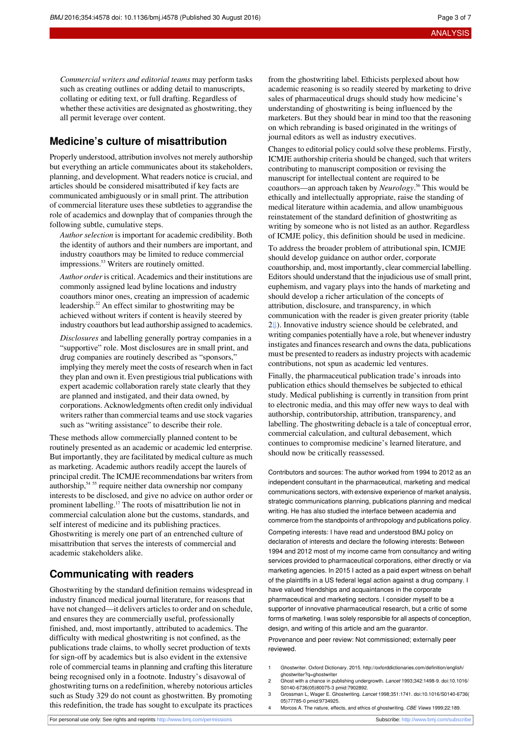*Commercial writers and editorial teams* may perform tasks such as creating outlines or adding detail to manuscripts, collating or editing text, or full drafting. Regardless of whether these activities are designated as ghostwriting, they all permit leverage over content.

#### **Medicine's culture of misattribution**

Properly understood, attribution involves not merely authorship but everything an article communicates about its stakeholders, planning, and development. What readers notice is crucial, and articles should be considered misattributed if key facts are communicated ambiguously or in small print. The attribution of commercial literature uses these subtleties to aggrandise the role of academics and downplay that of companies through the following subtle, cumulative steps.

*Author selection* is important for academic credibility. Both the identity of authors and their numbers are important, and industry coauthors may be limited to reduce commercial impressions.<sup>53</sup> Writers are routinely omitted.

*Author order* is critical. Academics and their institutions are commonly assigned lead byline locations and industry coauthors minor ones, creating an impression of academic leadership.<sup>22</sup> An effect similar to ghostwriting may be achieved without writers if content is heavily steered by industry coauthors but lead authorship assigned to academics.

*Disclosures* and labelling generally portray companies in a "supportive" role. Most disclosures are in small print, and drug companies are routinely described as "sponsors," implying they merely meet the costs of research when in fact they plan and own it. Even prestigious trial publications with expert academic collaboration rarely state clearly that they are planned and instigated, and their data owned, by corporations. Acknowledgments often credit only individual writers rather than commercial teams and use stock vagaries such as "writing assistance" to describe their role.

These methods allow commercially planned content to be routinely presented as an academic or academic led enterprise. But importantly, they are facilitated by medical culture as much as marketing. Academic authors readily accept the laurels of principal credit. The ICMJE recommendations bar writers from authorship,<sup>54</sup> <sup>55</sup> require neither data ownership nor company interests to be disclosed, and give no advice on author order or prominent labelling.<sup>17</sup> The roots of misattribution lie not in commercial calculation alone but the customs, standards, and self interest of medicine and its publishing practices. Ghostwriting is merely one part of an entrenched culture of misattribution that serves the interests of commercial and academic stakeholders alike.

### **Communicating with readers**

Ghostwriting by the standard definition remains widespread in industry financed medical journal literature, for reasons that have not changed—it delivers articles to order and on schedule, and ensures they are commercially useful, professionally finished, and, most importantly, attributed to academics. The difficulty with medical ghostwriting is not confined, as the publications trade claims, to wholly secret production of texts for sign-off by academics but is also evident in the extensive role of commercial teams in planning and crafting this literature being recognised only in a footnote. Industry's disavowal of ghostwriting turns on a redefinition, whereby notorious articles such as Study 329 do not count as ghostwritten. By promoting this redefinition, the trade has sought to exculpate its practices

from the ghostwriting label. Ethicists perplexed about how academic reasoning is so readily steered by marketing to drive sales of pharmaceutical drugs should study how medicine's understanding of ghostwriting is being influenced by the marketers. But they should bear in mind too that the reasoning on which rebranding is based originated in the writings of journal editors as well as industry executives.

Changes to editorial policy could solve these problems. Firstly, ICMJE authorship criteria should be changed, such that writers contributing to manuscript composition or revising the manuscript for intellectual content are required to be coauthors—an approach taken by *Neurology*. <sup>56</sup> This would be ethically and intellectually appropriate, raise the standing of medical literature within academia, and allow unambiguous reinstatement of the standard definition of ghostwriting as writing by someone who is not listed as an author. Regardless of ICMJE policy, this definition should be used in medicine.

To address the broader problem of attributional spin, ICMJE should develop guidance on author order, corporate coauthorship, and, most importantly, clear commercial labelling. Editors should understand that the injudicious use of small print, euphemism, and vagary plays into the hands of marketing and should develop a richer articulation of the concepts of attribution, disclosure, and transparency, in which communication with the reader is given greater priority (table [2⇓](#page-5-0)). Innovative industry science should be celebrated, and writing companies potentially have a role, but whenever industry instigates and finances research and owns the data, publications must be presented to readers asindustry projects with academic contributions, not spun as academic led ventures.

Finally, the pharmaceutical publication trade's inroads into publication ethics should themselves be subjected to ethical study. Medical publishing is currently in transition from print to electronic media, and this may offer new ways to deal with authorship, contributorship, attribution, transparency, and labelling. The ghostwriting debacle is a tale of conceptual error, commercial calculation, and cultural debasement, which continues to compromise medicine's learned literature, and should now be critically reassessed.

Contributors and sources: The author worked from 1994 to 2012 as an independent consultant in the pharmaceutical, marketing and medical communications sectors, with extensive experience of market analysis, strategic communications planning, publications planning and medical writing. He has also studied the interface between academia and commerce from the standpoints of anthropology and publications policy. Competing interests: I have read and understood BMJ policy on declaration of interests and declare the following interests: Between 1994 and 2012 most of my income came from consultancy and writing services provided to pharmaceutical corporations, either directly or via marketing agencies. In 2015 I acted as a paid expert witness on behalf of the plaintiffs in a US federal legal action against a drug company. I have valued friendships and acquaintances in the corporate pharmaceutical and marketing sectors. I consider myself to be a supporter of innovative pharmaceutical research, but a critic of some forms of marketing. I was solely responsible for all aspects of conception, design, and writing of this article and am the guarantor.

Provenance and peer review: Not commissioned; externally peer reviewed.

- 1 Ghostwriter. Oxford Dictionary. 2015. [http://oxforddictionaries.com/definition/english/](http://oxforddictionaries.com/definition/english/ghostwriter?q=ghostwriter) [ghostwriter?q=ghostwriter](http://oxforddictionaries.com/definition/english/ghostwriter?q=ghostwriter)
- 2 Ghost with a chance in publishing undergrowth. Lancet 1993;342:1498-9. [doi:10.1016/](http://dx.doi.org/10.1016/S0140-6736(05)80075-3) [S0140-6736\(05\)80075-3](http://dx.doi.org/10.1016/S0140-6736(05)80075-3) [pmid:7902892](http://www.ncbi.nlm.nih.gov/pubmed/?term=7902892).
- 3 Grossman L, Wager E. Ghostwriting. Lancet 1998;351:1741. [doi:10.1016/S0140-6736\(](http://dx.doi.org/10.1016/S0140-6736(05)77785-0) [05\)77785-0](http://dx.doi.org/10.1016/S0140-6736(05)77785-0) [pmid:9734925.](http://www.ncbi.nlm.nih.gov/pubmed/?term=9734925)
- 4 Morcos A. The nature, effects, and ethics of ghostwriting. CBE Views 1999;22:189.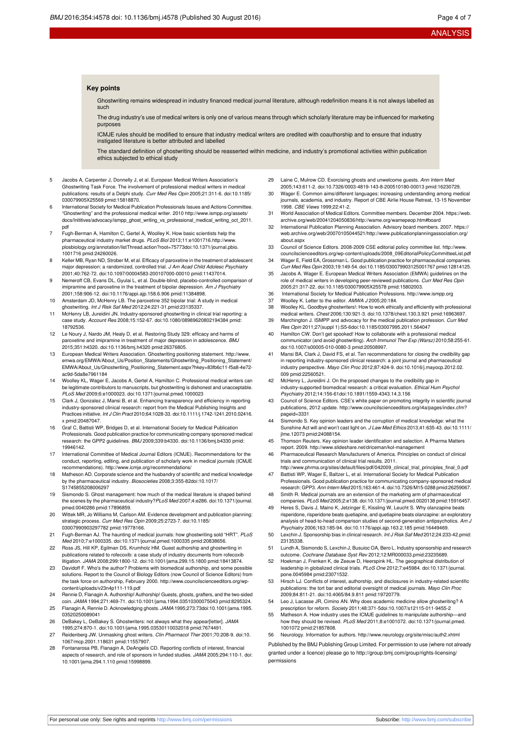#### **Key points**

Ghostwriting remains widespread in industry financed medical journal literature, although redefinition means it is not always labelled as such

The drug industry's use of medical writers is only one of various means through which scholarly literature may be influenced for marketing purposes

ICMJE rules should be modified to ensure that industry medical writers are credited with coauthorship and to ensure that industry instigated literature is better attributed and labelled

The standard definition of ghostwriting should be reasserted within medicine, and industry's promotional activities within publication ethics subjected to ethical study

- 5 Jacobs A, Carpenter J, Donnelly J, et al. European Medical Writers Association's Ghostwriting Task Force. The involvement of professional medical writers in medical publications: results of a Delphi study. Curr Med Res Opin 2005;21:311-6. [doi:10.1185/](http://dx.doi.org/10.1185/030079905X25569) [030079905X25569](http://dx.doi.org/10.1185/030079905X25569) [pmid:15818870.](http://www.ncbi.nlm.nih.gov/pubmed/?term=15818870)
- 6 International Society for Medical Publication Professionals Issues and Actions Committee. "Ghostwriting" and the professional medical writer. 2010 [http://www.ismpp.org/assets/](http://www.ismpp.org/assets/docs/Inititives/advocacy/ismpp_ghost_writing_vs_professional_medical_writing_oct_2011.pdf) [docs/Inititives/advocacy/ismpp\\_ghost\\_writing\\_vs\\_professional\\_medical\\_writing\\_oct\\_2011.](http://www.ismpp.org/assets/docs/Inititives/advocacy/ismpp_ghost_writing_vs_professional_medical_writing_oct_2011.pdf) [pdf](http://www.ismpp.org/assets/docs/Inititives/advocacy/ismpp_ghost_writing_vs_professional_medical_writing_oct_2011.pdf)
- 7 Fugh-Berman A, Hamilton C, Gertel A, Woolley K. How basic scientists help the pharmaceutical industry market drugs. PLoS Biol 2013;11:e1001716[.http://www.](http://www.plosbiology.org/annotation/listThread.action?root=75773) [plosbiology.org/annotation/listThread.action?root=75773](http://www.plosbiology.org/annotation/listThread.action?root=75773)[doi:10.1371/journal.pbio.](http://dx.doi.org/10.1371/journal.pbio.1001716) [1001716](http://dx.doi.org/10.1371/journal.pbio.1001716) [pmid:24260026](http://www.ncbi.nlm.nih.gov/pubmed/?term=24260026).
- 8 Keller MB, Ryan ND, Strober M, et al. Efficacy of paroxetine in the treatment of adolescent major depression: a randomized, controlled trial. J Am Acad Child Adolesc Psychiatry 2001;40:762-72. [doi:10.1097/00004583-200107000-00010](http://dx.doi.org/10.1097/00004583-200107000-00010) [pmid:11437014](http://www.ncbi.nlm.nih.gov/pubmed/?term=11437014).
- 9 Nemeroff CB, Evans DL, Gyulai L, et al. Double-blind, placebo-controlled comparison of imipramine and paroxetine in the treatment of bipolar depression. Am J Psychiatry 2001;158:906-12. [doi:10.1176/appi.ajp.158.6.906](http://dx.doi.org/10.1176/appi.ajp.158.6.906) [pmid:11384898](http://www.ncbi.nlm.nih.gov/pubmed/?term=11384898).
- 10 Amsterdam JD, McHenry LB. The paroxetine 352 bipolar trial: A study in medical ghostwriting. Int J Risk Saf Med 2012;24:221-31[.pmid:23135337.](http://www.ncbi.nlm.nih.gov/pubmed/?term=23135337)
- 11 McHenry LB, Jureidini JN. Industry-sponsored ghostwriting in clinical trial reporting: a case study. Account Res 2008;15:152-67. [doi:10.1080/08989620802194384](http://dx.doi.org/10.1080/08989620802194384) [pmid:](http://www.ncbi.nlm.nih.gov/pubmed/?term=18792536) [18792536.](http://www.ncbi.nlm.nih.gov/pubmed/?term=18792536)
- 12 Le Noury J, Nardo JM, Healy D, et al. Restoring Study 329: efficacy and harms of paroxetine and imipramine in treatment of major depression in adolescence. BMJ 2015;351:h4320. [doi:10.1136/bmj.h4320](http://dx.doi.org/10.1136/bmj.h4320) [pmid:26376805](http://www.ncbi.nlm.nih.gov/pubmed/?term=26376805).
- 13 European Medical Writers Association. Ghostwriting positioning statement. [http://www.](http://www.emwa.org/EMWA/About_Us/Position_Statements/Ghostwriting_Positioning_Statement/EMWA/About_Us/Ghostwriting_Positioning_Statement.aspx?hkey=83fb6c11-f5a8-4e72-ac9d-5da8e7961184) [emwa.org/EMWA/About\\_Us/Position\\_Statements/Ghostwriting\\_Positioning\\_Statement/](http://www.emwa.org/EMWA/About_Us/Position_Statements/Ghostwriting_Positioning_Statement/EMWA/About_Us/Ghostwriting_Positioning_Statement.aspx?hkey=83fb6c11-f5a8-4e72-ac9d-5da8e7961184) [EMWA/About\\_Us/Ghostwriting\\_Positioning\\_Statement.aspx?hkey=83fb6c11-f5a8-4e72](http://www.emwa.org/EMWA/About_Us/Position_Statements/Ghostwriting_Positioning_Statement/EMWA/About_Us/Ghostwriting_Positioning_Statement.aspx?hkey=83fb6c11-f5a8-4e72-ac9d-5da8e7961184) [ac9d-5da8e7961184](http://www.emwa.org/EMWA/About_Us/Position_Statements/Ghostwriting_Positioning_Statement/EMWA/About_Us/Ghostwriting_Positioning_Statement.aspx?hkey=83fb6c11-f5a8-4e72-ac9d-5da8e7961184)
- 14 Woolley KL, Wager E, Jacobs A, Gertel A, Hamilton C. Professional medical writers can be legitimate contributors to manuscripts, but ghostwriting is dishonest and unacceptable. PLoS Med 2009;6:e1000023. [doi:10.1371/journal.pmed.1000023](http://dx.doi.org/10.1371/journal.pmed.1000023)
- 15 Clark J, Gonzalez J, Mansi B, et al. Enhancing transparency and efficiency in reporting industry-sponsored clinical research: report from the Medical Publishing Insights and Practices initiative. Int J Clin Pract 2010;64:1028-33. [doi:10.1111/j.1742-1241.2010.02416.](http://dx.doi.org/10.1111/j.1742-1241.2010.02416.x) [x](http://dx.doi.org/10.1111/j.1742-1241.2010.02416.x) [pmid:20487047](http://www.ncbi.nlm.nih.gov/pubmed/?term=20487047).
- 16 Graf C, Battisti WP, Bridges D, et al. International Society for Medical Publication Professionals. Good publication practice for communicating company sponsored medical research: the GPP2 guidelines. BMJ 2009;339:b4330. [doi:10.1136/bmj.b4330](http://dx.doi.org/10.1136/bmj.b4330) [pmid:](http://www.ncbi.nlm.nih.gov/pubmed/?term=19946142) [19946142.](http://www.ncbi.nlm.nih.gov/pubmed/?term=19946142)
- 17 International Committee of Medical Journal Editors (ICMJE). Recommendations for the conduct, reporting, editing, and publication of scholarly work in medical journals (ICMJE recommendations). <http://www.icmje.org/recommendations/>
- 18 Matheson AD. Corporate science and the husbandry of scientific and medical knowledge by the pharmaceutical industry. Biosocieties 2008;3:355-8[2doi:10.1017/](http://dx.doi.org/10.1017/S1745855208006297) [S1745855208006297](http://dx.doi.org/10.1017/S1745855208006297)
- 19 Sismondo S. Ghost management: how much of the medical literature is shaped behind the scenes by the pharmaceutical industry?PLoS Med 2007;4:e286. [doi:10.1371/journal.](http://dx.doi.org/10.1371/journal.pmed.0040286) [pmed.0040286](http://dx.doi.org/10.1371/journal.pmed.0040286) [pmid:17896859.](http://www.ncbi.nlm.nih.gov/pubmed/?term=17896859)
- 20 Wittek MR, Jo Williams M, Carlson AM. Evidence development and publication planning: strategic process. Curr Med Res Opin 2009;25:2723-7. [doi:10.1185/](http://dx.doi.org/10.1185/03007990903297782) [03007990903297782](http://dx.doi.org/10.1185/03007990903297782) [pmid:19778166](http://www.ncbi.nlm.nih.gov/pubmed/?term=19778166).
- 21 Fugh-Berman AJ. The haunting of medical journals: how ghostwriting sold "HRT". PLoS Med 2010;7:e1000335. [doi:10.1371/journal.pmed.1000335](http://dx.doi.org/10.1371/journal.pmed.1000335) [pmid:20838656.](http://www.ncbi.nlm.nih.gov/pubmed/?term=20838656)
- 22 Ross JS, Hill KP, Egilman DS, Krumholz HM. Guest authorship and ghostwriting in publications related to rofecoxib: a case study of industry documents from rofecoxib litigation. JAMA 2008;299:1800-12. [doi:10.1001/jama.299.15.1800](http://dx.doi.org/10.1001/jama.299.15.1800) [pmid:18413874](http://www.ncbi.nlm.nih.gov/pubmed/?term=18413874).
- 23 Davidoff F. Who's the author? Problems with biomedical authorship, and some possible solutions. Report to the Council of Biology Editors (now Council of Science Editors) from the task force on authorship, February 2000. [http://www.councilscienceeditors.org/wp](http://www.councilscienceeditors.org/wp-content/uploads/v23n4p111-119.pdf)[content/uploads/v23n4p111-119.pdf](http://www.councilscienceeditors.org/wp-content/uploads/v23n4p111-119.pdf)
- 24 Rennie D, Flanagin A. Authorship! Authorship! Guests, ghosts, grafters, and the two-sided coin. JAMA 1994;271:469-71. [doi:10.1001/jama.1994.03510300075043](http://dx.doi.org/10.1001/jama.1994.03510300075043) [pmid:8295324](http://www.ncbi.nlm.nih.gov/pubmed/?term=8295324).
- 25 Flanagin A, Rennie D. Acknowledging ghosts. JAMA 1995;273:7[3doi:10.1001/jama.1995.](http://dx.doi.org/10.1001/jama.1995.03520250089041) [03520250089041](http://dx.doi.org/10.1001/jama.1995.03520250089041)
- 26 DeBakey L, DeBakey S. Ghostwriters: not always what they appear[letter]. JAMA 1995;274:870-1. [doi:10.1001/jama.1995.03530110032018](http://dx.doi.org/10.1001/jama.1995.03530110032018) [pmid:7674491](http://www.ncbi.nlm.nih.gov/pubmed/?term=7674491).
- 27 Reidenberg JW. Unmasking ghost writers. Clin Pharmacol Ther 2001;70:208-9. [doi:10.](http://dx.doi.org/10.1067/mcp.2001.118631) [1067/mcp.2001.118631](http://dx.doi.org/10.1067/mcp.2001.118631) [pmid:11557907](http://www.ncbi.nlm.nih.gov/pubmed/?term=11557907).
- 28 Fontanarosa PB, Flanagin A, DeAngelis CD. Reporting conflicts of interest, financial aspects of research, and role of sponsors in funded studies. JAMA 2005;294:110-1. [doi:](http://dx.doi.org/10.1001/jama.294.1.110) [10.1001/jama.294.1.110](http://dx.doi.org/10.1001/jama.294.1.110) [pmid:15998899.](http://www.ncbi.nlm.nih.gov/pubmed/?term=15998899)
- 29 Laine C, Mulrow CD. Exorcising ghosts and unwelcome guests. Ann Intern Med 2005;143:611-2. [doi:10.7326/0003-4819-143-8-200510180-00013](http://dx.doi.org/10.7326/0003-4819-143-8-200510180-00013) [pmid:16230729](http://www.ncbi.nlm.nih.gov/pubmed/?term=16230729).
- 30 Wager E. Common aims/different languages: increasing understanding among medical journals, academia, and industry. Report of CBE Airlie House Retreat, 13-15 November 1998. CBE Views 1999;22:41-2.
- 31 World Association of Medical Editors. Committee members. December 2004. [https://web.](https://web.archive.org/web/20041204050836/http://wame.org/wamepeop.htm#board) [archive.org/web/20041204050836/http://wame.org/wamepeop.htm#board](https://web.archive.org/web/20041204050836/http://wame.org/wamepeop.htm#board)
- 32 International Publication Planning Association. Advisory board members. 2007. [https://](https://web.archive.org/web/20070105044521/http://www.publicationplanningassociation.org/about.aspx) [web.archive.org/web/20070105044521/http://www.publicationplanningassociation.org/](https://web.archive.org/web/20070105044521/http://www.publicationplanningassociation.org/about.aspx) about.asp
- 33 Council of Science Editors. 2008‐2009 CSE editorial policy committee list. [http://www.](http://www.councilscienceeditors.org/wp-content/uploads/2008_09EditorialPolicyCommitteeList.pdf)
- [councilscienceeditors.org/wp-content/uploads/2008\\_09EditorialPolicyCommitteeList.pdf](http://www.councilscienceeditors.org/wp-content/uploads/2008_09EditorialPolicyCommitteeList.pdf) 34 Wager E, Field EA, Grossman L. Good publication practice for pharmaceutical companies. Curr Med Res Opin 2003;19:149-54. [doi:10.1185/030079903125001767](http://dx.doi.org/10.1185/030079903125001767) [pmid:12814125](http://www.ncbi.nlm.nih.gov/pubmed/?term=12814125).
- 35 Jacobs A, Wager E. European Medical Writers Association (EMWA) guidelines on the role of medical writers in developing peer-reviewed publications. Curr Med Res Opin 2005;21:317-22. [doi:10.1185/030079905X25578](http://dx.doi.org/10.1185/030079905X25578) [pmid:15802003](http://www.ncbi.nlm.nih.gov/pubmed/?term=15802003).
- 36 International Society for Medical Publication Professions. <http://www.ismpp.org> 37 Woolley K. Letter to the editor. AMWA J 2005;20:184.
- 
- 38 Woolley KL. Goodbye ghostwriters!: How to work ethically and efficiently with professional medical writers. Chest 2006;130:921-3. [doi:10.1378/chest.130.3.921](http://dx.doi.org/10.1378/chest.130.3.921) [pmid:16963697.](http://www.ncbi.nlm.nih.gov/pubmed/?term=16963697) 39 Marchington J. ISMPP and advocacy for the medical publication profession. Curr Med
- Res Opin 2011;27(suppl 1):S5-6[doi:10.1185/03007995.2011.564047](http://dx.doi.org/10.1185/03007995.2011.564047) Hamilton CW. Don't get spooked! How to collaborate with a professional medical
- communicator (and avoid ghostwriting). Arch Immunol Ther Exp (Warsz) 2010;58:255-61. [doi:10.1007/s00005-010-0080-3](http://dx.doi.org/10.1007/s00005-010-0080-3) [pmid:20508997](http://www.ncbi.nlm.nih.gov/pubmed/?term=20508997).
- 41 Mansi BA, Clark J, David FS, et al. Ten recommendations for closing the credibility gap in reporting industry-sponsored clinical research: a joint journal and pharmaceutical industry perspective. Mayo Clin Proc 2012;87:424-9. [doi:10.1016/j.mayocp.2012.02.](http://dx.doi.org/10.1016/j.mayocp.2012.02.009) [009](http://dx.doi.org/10.1016/j.mayocp.2012.02.009) [pmid:22560521](http://www.ncbi.nlm.nih.gov/pubmed/?term=22560521).
- 42 McHenry L, Jureidini J. On the proposed changes to the credibility gap in industry-supported biomedical research: a critical evaluation. Ethical Hum Psychol Psychiatry 2012;14:156-61[doi:10.1891/1559-4343.14.3.156](http://dx.doi.org/10.1891/1559-4343.14.3.156)
- 43 Council of Science Editors. CSE's white paper on promoting integrity in scientific journal publications, 2012 update. [http://www.councilscienceeditors.org/i4a/pages/index.cfm?](http://www.councilscienceeditors.org/i4a/pages/index.cfm?pageid=3331) [pageid=3331](http://www.councilscienceeditors.org/i4a/pages/index.cfm?pageid=3331)
- 44 Sismondo S. Key opinion leaders and the corruption of medical knowledge: what the Sunshine Act will and won't cast light on. J Law Med Ethics 2013;41:635-43. [doi:10.1111/](http://dx.doi.org/10.1111/jlme.12073) [jlme.12073](http://dx.doi.org/10.1111/jlme.12073) [pmid:24088154.](http://www.ncbi.nlm.nih.gov/pubmed/?term=24088154)
- 45 Thomson Reuters. Key opinion leader identification and selection. A Pharma Matters report. 2009. <http://www.slideshare.net/driceman/kol-management>
- 46 Pharmaceutical Research Manufacturers of America. Principles on conduct of clinical trials and communication of clinical trial results. 2011.
- http://www.phrma.org/sites/default/files/pdf/042009\_clinical\_trial\_principles\_final\_0.pdf 47 Battisti WP, Wager E, Baltzer L, et al. International Society for Medical Publication Professionals. Good publication practice for communicating company-sponsored medical
- research: GPP3. Ann Intern Med 2015;163:461-4. [doi:10.7326/M15-0288](http://dx.doi.org/10.7326/M15-0288) [pmid:26259067](http://www.ncbi.nlm.nih.gov/pubmed/?term=26259067). 48 Smith R. Medical journals are an extension of the marketing arm of pharmaceutical
- companies. PLoS Med 2005;2:e138. [doi:10.1371/journal.pmed.0020138](http://dx.doi.org/10.1371/journal.pmed.0020138) [pmid:15916457](http://www.ncbi.nlm.nih.gov/pubmed/?term=15916457). 49 Heres S, Davis J, Maino K, Jetzinger E, Kissling W, Leucht S. Why olanzapine beats risperidone, risperidone beats quetiapine, and quetiapine beats olanzapine: an exploratory
- analysis of head-to-head comparison studies of second-generation antipsychotics. Am J Psychiatry 2006;163:185-94. [doi:10.1176/appi.ajp.163.2.185](http://dx.doi.org/10.1176/appi.ajp.163.2.185) [pmid:16449469.](http://www.ncbi.nlm.nih.gov/pubmed/?term=16449469) 50 Lexchin J. Sponsorship bias in clinical research. Int J Risk Saf Med 2012;24:233-42.[pmid:](http://www.ncbi.nlm.nih.gov/pubmed/?term=23135338)
- [23135338.](http://www.ncbi.nlm.nih.gov/pubmed/?term=23135338) 51 Lundh A, Sismondo S, Lexchin J, Busuioc OA, Bero L. Industry sponsorship and research outcome. Cochrane Database Syst Rev 2012;12:MR000033[.pmid:23235689.](http://www.ncbi.nlm.nih.gov/pubmed/?term=23235689)
- 52 Hoekman J, Frenken K, de Zeeuw D, Heerspink HL. The geographical distribution of leadership in globalized clinical trials. PLoS One 2012;7:e45984. [doi:10.1371/journal.](http://dx.doi.org/10.1371/journal.pone.0045984) [pone.0045984](http://dx.doi.org/10.1371/journal.pone.0045984) [pmid:23071532](http://www.ncbi.nlm.nih.gov/pubmed/?term=23071532).
- Hirsch LJ. Conflicts of interest, authorship, and disclosures in industry-related scientific publications: the tort bar and editorial oversight of medical journals. Mayo Clin Proc 2009;84:811-21. [doi:10.4065/84.9.811](http://dx.doi.org/10.4065/84.9.811) [pmid:19720779](http://www.ncbi.nlm.nih.gov/pubmed/?term=19720779).
- Leo J, Lacasse JR, Cimino AN. Why does academic medicine allow ghostwriting? A prescription for reform. Society 2011;48:371-[5doi:10.1007/s12115-011-9455-2](http://dx.doi.org/10.1007/s12115-011-9455-2)
- 55 Matheson A. How industry uses the ICMJE guidelines to manipulate authorship—and how they should be revised. PLoS Med 2011;8:e1001072. [doi:10.1371/journal.pmed.](http://dx.doi.org/10.1371/journal.pmed.1001072) [1001072](http://dx.doi.org/10.1371/journal.pmed.1001072) [pmid:21857808](http://www.ncbi.nlm.nih.gov/pubmed/?term=21857808).
- 56 Neurology. Information for authors. <http://www.neurology.org/site/misc/auth2.xhtml>

Published by the BMJ Publishing Group Limited. For permission to use (where not already granted under a licence) please go to [http://group.bmj.com/group/rights-licensing/](http://group.bmj.com/group/rights-licensing/permissions) [permissions](http://group.bmj.com/group/rights-licensing/permissions)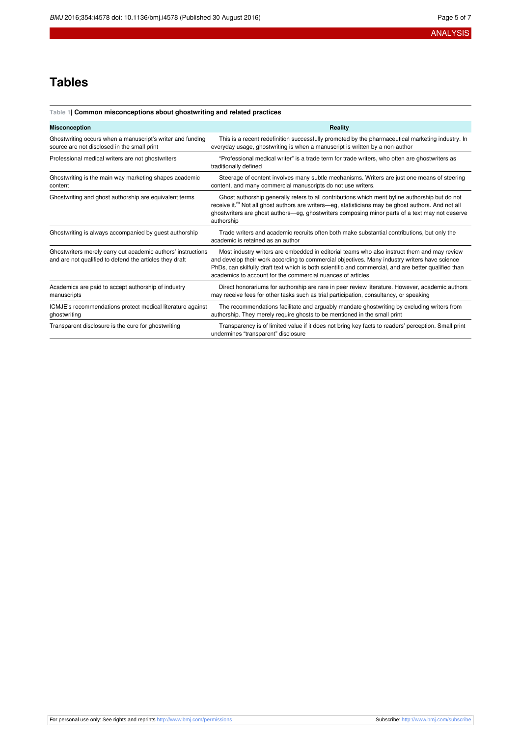## **Tables**

#### <span id="page-4-0"></span>**Table 1| Common misconceptions about ghostwriting and related practices**

| <b>Misconception</b>                                                                                                    | Reality                                                                                                                                                                                                                                                                                                                                                              |
|-------------------------------------------------------------------------------------------------------------------------|----------------------------------------------------------------------------------------------------------------------------------------------------------------------------------------------------------------------------------------------------------------------------------------------------------------------------------------------------------------------|
| Ghostwriting occurs when a manuscript's writer and funding<br>source are not disclosed in the small print               | This is a recent redefinition successfully promoted by the pharmaceutical marketing industry. In<br>everyday usage, ghostwriting is when a manuscript is written by a non-author                                                                                                                                                                                     |
| Professional medical writers are not ghostwriters                                                                       | "Professional medical writer" is a trade term for trade writers, who often are ghostwriters as<br>traditionally defined                                                                                                                                                                                                                                              |
| Ghostwriting is the main way marketing shapes academic<br>content                                                       | Steerage of content involves many subtle mechanisms. Writers are just one means of steering<br>content, and many commercial manuscripts do not use writers.                                                                                                                                                                                                          |
| Ghostwriting and ghost authorship are equivalent terms                                                                  | Ghost authorship generally refers to all contributions which merit byline authorship but do not<br>receive it. <sup>23</sup> Not all ghost authors are writers—eg, statisticians may be ghost authors. And not all<br>ghostwriters are ghost authors—eg, ghostwriters composing minor parts of a text may not deserve<br>authorship                                  |
| Ghostwriting is always accompanied by guest authorship                                                                  | Trade writers and academic recruits often both make substantial contributions, but only the<br>academic is retained as an author                                                                                                                                                                                                                                     |
| Ghostwriters merely carry out academic authors' instructions<br>and are not qualified to defend the articles they draft | Most industry writers are embedded in editorial teams who also instruct them and may review<br>and develop their work according to commercial objectives. Many industry writers have science<br>PhDs, can skilfully draft text which is both scientific and commercial, and are better qualified than<br>academics to account for the commercial nuances of articles |
| Academics are paid to accept authorship of industry<br>manuscripts                                                      | Direct honorariums for authorship are rare in peer review literature. However, academic authors<br>may receive fees for other tasks such as trial participation, consultancy, or speaking                                                                                                                                                                            |
| ICMJE's recommendations protect medical literature against<br>ghostwriting                                              | The recommendations facilitate and arguably mandate ghostwriting by excluding writers from<br>authorship. They merely require ghosts to be mentioned in the small print                                                                                                                                                                                              |
| Transparent disclosure is the cure for ghostwriting                                                                     | Transparency is of limited value if it does not bring key facts to readers' perception. Small print<br>undermines "transparent" disclosure                                                                                                                                                                                                                           |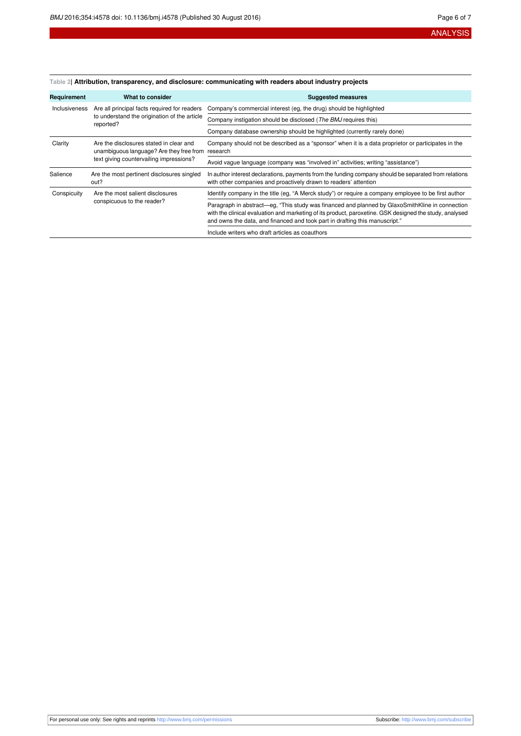#### <span id="page-5-0"></span>**Table 2| Attribution, transparency, and disclosure: communicating with readers about industry projects**

| Requirement   | What to consider                                                                                                               | <b>Suggested measures</b>                                                                                                                                                                                                                                                                 |
|---------------|--------------------------------------------------------------------------------------------------------------------------------|-------------------------------------------------------------------------------------------------------------------------------------------------------------------------------------------------------------------------------------------------------------------------------------------|
| Inclusiveness | Are all principal facts required for readers<br>to understand the origination of the article<br>reported?                      | Company's commercial interest (eg, the drug) should be highlighted                                                                                                                                                                                                                        |
|               |                                                                                                                                | Company instigation should be disclosed (The BMJ requires this)                                                                                                                                                                                                                           |
|               |                                                                                                                                | Company database ownership should be highlighted (currently rarely done)                                                                                                                                                                                                                  |
| Clarity       | Are the disclosures stated in clear and<br>unambiguous language? Are they free from<br>text giving countervailing impressions? | Company should not be described as a "sponsor" when it is a data proprietor or participates in the<br>research                                                                                                                                                                            |
|               |                                                                                                                                | Avoid vague language (company was "involved in" activities; writing "assistance")                                                                                                                                                                                                         |
| Salience      | Are the most pertinent disclosures singled<br>out?                                                                             | In author interest declarations, payments from the funding company should be separated from relations<br>with other companies and proactively drawn to readers' attention                                                                                                                 |
| Conspicuity   | Are the most salient disclosures<br>conspicuous to the reader?                                                                 | Identify company in the title (eg, "A Merck study") or require a company employee to be first author                                                                                                                                                                                      |
|               |                                                                                                                                | Paragraph in abstract—eg, "This study was financed and planned by GlaxoSmithKline in connection<br>with the clinical evaluation and marketing of its product, paroxetine. GSK designed the study, analysed<br>and owns the data, and financed and took part in drafting this manuscript." |
|               |                                                                                                                                | Include writers who draft articles as coauthors                                                                                                                                                                                                                                           |